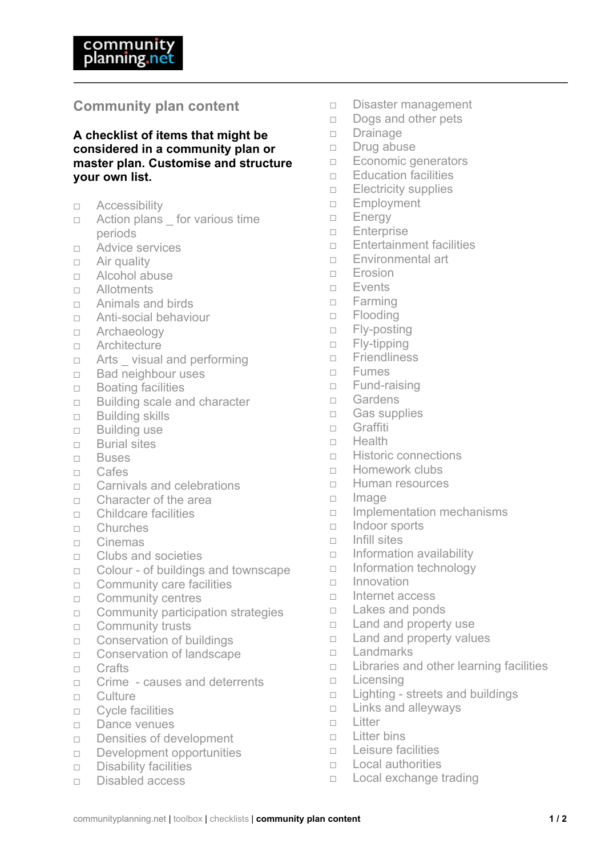## **Community plan content**

## **A checklist of items that might be considered in a community plan or master plan. Customise and structure your own list.**

- Accessibility
- $\Box$  Action plans for various time periods
- □ Advice services
- $\Box$  Air quality
- Alcohol abuse
- Allotments
- □ Animals and birds
- Anti-social behaviour
- □ Archaeology
- Architecture
- $\Box$  Arts visual and performing
- $\Box$  Bad neighbour uses
- $\Box$  Boating facilities
- □ Building scale and character
- □ Building skills
- □ Building use
- □ Burial sites
- Buses
- Cafes
- □ Carnivals and celebrations
- Character of the area
- Childcare facilities
- Churches
- $\Box$  Cinemas
- $\Box$  Clubs and societies
- □ Colour of buildings and townscape
- $\Box$  Community care facilities
- □ Community centres
- $\Box$  Community participation strategies
- □ Community trusts
- □ Conservation of buildings
- □ Conservation of landscape
- n Crafts
- □ Crime causes and deterrents
- $\Box$  Culture
- Cycle facilities
- Dance venues
- $\Box$  Densities of development
- $\Box$  Development opportunities
- $\Box$  Disability facilities
- $\neg$  Disabled access
- $\Box$  Disaster management
- $\Box$  Dogs and other pets
- Drainage
- $\neg$  Drug abuse
- **Economic generators**
- $\Box$  Education facilities
- $\Box$  Electricity supplies
- □ Employment
- **Energy**
- **Enterprise**
- $\Box$  Entertainment facilities
- **Environmental art**
- Erosion
- Events
- □ Farming
- □ Flooding
- □ Fly-posting
- □ Fly-tipping
- $\Box$  Friendliness
- Fumes
- □ Fund-raising
- Gardens
- □ Gas supplies
- □ Graffiti
- $\Box$  Health
- □ Historic connections
- □ Homework clubs
- □ Human resources
- $n$  Image
- $\Box$  Implementation mechanisms
- $\Box$  Indoor sports
- $\Box$  Infill sites
- $\Box$  Information availability
- $\Box$  Information technology
- $\Box$  Innovation
- $n$  Internet access
- $\Box$  Lakes and ponds
- $\Box$  Land and property use
- $\Box$  Land and property values
- □ Landmarks
- $\Box$  Libraries and other learning facilities
- $\Box$  Licensing
- $\Box$  Lighting streets and buildings
- $\Box$  Links and alleyways
- n Litter
- $\Box$  Litter bins
- $\Box$  Leisure facilities
- $\Box$  Local authorities
- □ Local exchange trading